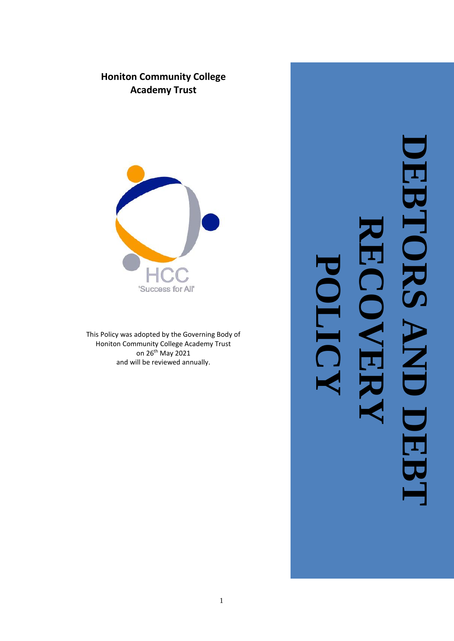# **Honiton Community College Academy Trust**



This Policy was adopted by the Governing Body of Honiton Community College Academy Trust on 26<sup>th</sup> May 2021 and will be reviewed annually.

# **DEBTORS AND DEBT**  DEBTORS **RECOVERY**  $\frac{1}{\sqrt{2}}$ **POLICY**IV DEI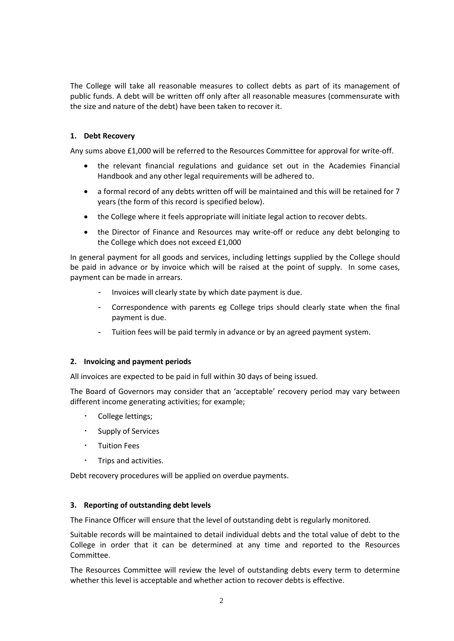The College will take all reasonable measures to collect debts as part of its management of public funds. A debt will be written off only after all reasonable measures (commensurate with the size and nature of the debt) have been taken to recover it.

### **1. Debt Recovery**

Any sums above £1,000 will be referred to the Resources Committee for approval for write-off.

- the relevant financial regulations and guidance set out in the Academies Financial Handbook and any other legal requirements will be adhered to.
- a formal record of any debts written off will be maintained and this will be retained for 7 years (the form of this record is specified below).
- the College where it feels appropriate will initiate legal action to recover debts.
- the Director of Finance and Resources may write-off or reduce any debt belonging to the College which does not exceed £1,000

In general payment for all goods and services, including lettings supplied by the College should be paid in advance or by invoice which will be raised at the point of supply. In some cases, payment can be made in arrears.

- Invoices will clearly state by which date payment is due.
- Correspondence with parents eg College trips should clearly state when the final payment is due.
- Tuition fees will be paid termly in advance or by an agreed payment system.

### **2. Invoicing and payment periods**

All invoices are expected to be paid in full within 30 days of being issued.

The Board of Governors may consider that an 'acceptable' recovery period may vary between different income generating activities; for example;

- College lettings;
- Supply of Services
- Tuition Fees
- Trips and activities.

Debt recovery procedures will be applied on overdue payments.

### **3. Reporting of outstanding debt levels**

The Finance Officer will ensure that the level of outstanding debt is regularly monitored.

Suitable records will be maintained to detail individual debts and the total value of debt to the College in order that it can be determined at any time and reported to the Resources Committee.

The Resources Committee will review the level of outstanding debts every term to determine whether this level is acceptable and whether action to recover debts is effective.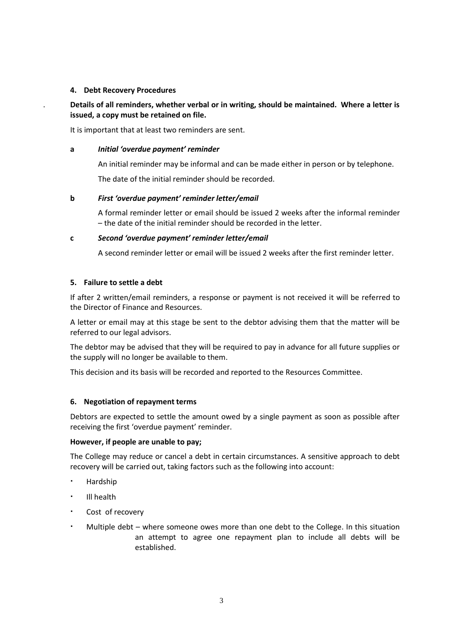### **4. Debt Recovery Procedures**

. **Details of all reminders, whether verbal or in writing, should be maintained. Where a letter is issued, a copy must be retained on file.**

It is important that at least two reminders are sent.

### **a** *Initial 'overdue payment' reminder*

An initial reminder may be informal and can be made either in person or by telephone.

The date of the initial reminder should be recorded.

### **b** *First 'overdue payment' reminder letter/email*

A formal reminder letter or email should be issued 2 weeks after the informal reminder – the date of the initial reminder should be recorded in the letter.

### **c** *Second 'overdue payment' reminder letter/email*

A second reminder letter or email will be issued 2 weeks after the first reminder letter.

### **5. Failure to settle a debt**

If after 2 written/email reminders, a response or payment is not received it will be referred to the Director of Finance and Resources.

A letter or email may at this stage be sent to the debtor advising them that the matter will be referred to our legal advisors.

The debtor may be advised that they will be required to pay in advance for all future supplies or the supply will no longer be available to them.

This decision and its basis will be recorded and reported to the Resources Committee.

### **6. Negotiation of repayment terms**

Debtors are expected to settle the amount owed by a single payment as soon as possible after receiving the first 'overdue payment' reminder.

### **However, if people are unable to pay;**

The College may reduce or cancel a debt in certain circumstances. A sensitive approach to debt recovery will be carried out, taking factors such as the following into account:

- Hardship
- Ill health
- Cost of recovery
- Multiple debt where someone owes more than one debt to the College. In this situation an attempt to agree one repayment plan to include all debts will be established.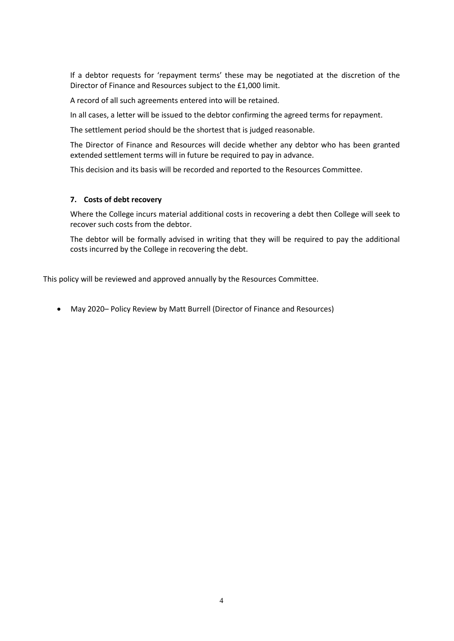If a debtor requests for 'repayment terms' these may be negotiated at the discretion of the Director of Finance and Resources subject to the £1,000 limit.

A record of all such agreements entered into will be retained.

In all cases, a letter will be issued to the debtor confirming the agreed terms for repayment.

The settlement period should be the shortest that is judged reasonable.

The Director of Finance and Resources will decide whether any debtor who has been granted extended settlement terms will in future be required to pay in advance.

This decision and its basis will be recorded and reported to the Resources Committee.

### **7. Costs of debt recovery**

Where the College incurs material additional costs in recovering a debt then College will seek to recover such costs from the debtor.

The debtor will be formally advised in writing that they will be required to pay the additional costs incurred by the College in recovering the debt.

This policy will be reviewed and approved annually by the Resources Committee.

• May 2020– Policy Review by Matt Burrell (Director of Finance and Resources)